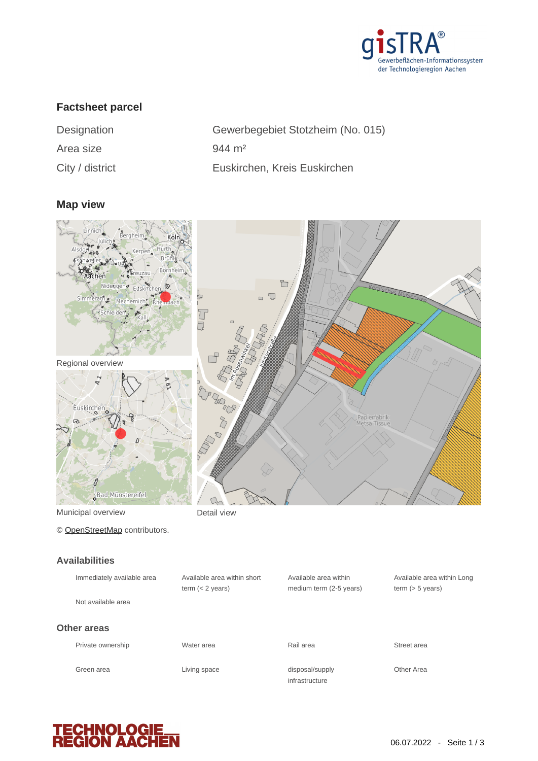

## **Factsheet parcel**

| Designation      |  |
|------------------|--|
| Area size        |  |
| $Cth$ / digtriat |  |

Gewerbegebiet Stotzheim (No. 015)  $944 \, m<sup>2</sup>$ City / district Euskirchen, Kreis Euskirchen

### **Map view**



Municipal overview **Detail view** 

© [OpenStreetMap](http://www.openstreetmap.org/copyright) contributors.

#### **Availabilities**

| Immediately available area | Available area within short<br>term $(< 2$ years) | Available area within<br>medium term (2-5 years) | Available a<br>term $(> 5 v)$ |
|----------------------------|---------------------------------------------------|--------------------------------------------------|-------------------------------|
| Not available area         |                                                   |                                                  |                               |
| Other areas                |                                                   |                                                  |                               |
| Private ownership          | Water area                                        | Rail area                                        | Street area                   |
| Green area                 | Living space                                      | disposal/supply<br>infrastructure                | Other Area                    |

Available area within Long term (> 5 years)

**TECHNOLOGIE<br>REGION AACHEN**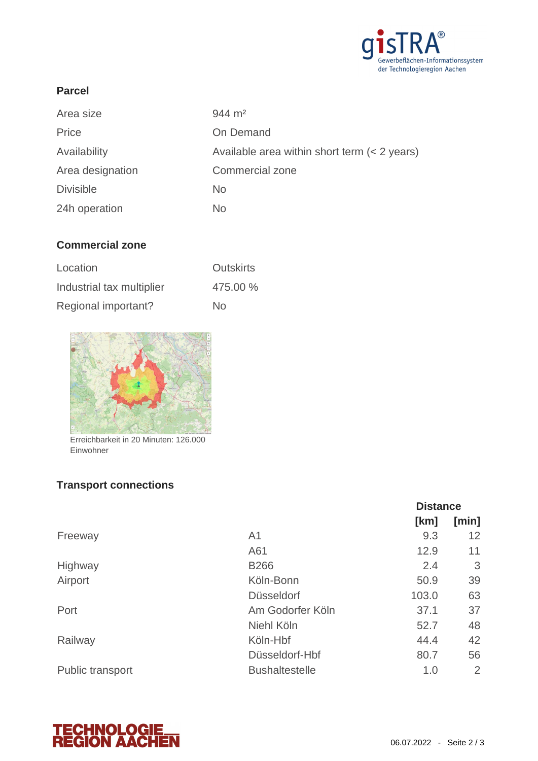

### **Parcel**

| Area size        | $944 \; \mathrm{m}^2$                        |
|------------------|----------------------------------------------|
| Price            | On Demand                                    |
| Availability     | Available area within short term (< 2 years) |
| Area designation | Commercial zone                              |
| <b>Divisible</b> | No.                                          |
| 24h operation    | No.                                          |

## **Commercial zone**

| Location                  | <b>Outskirts</b> |
|---------------------------|------------------|
| Industrial tax multiplier | 475.00 %         |
| Regional important?       | No.              |



Erreichbarkeit in 20 Minuten: 126.000 Einwohner

# **Transport connections**

|                  |                       | <b>Distance</b> |       |
|------------------|-----------------------|-----------------|-------|
|                  |                       | [km]            | [min] |
| Freeway          | A <sub>1</sub>        | 9.3             | 12    |
|                  | A61                   | 12.9            | 11    |
| Highway          | <b>B266</b>           | 2.4             | 3     |
| Airport          | Köln-Bonn             | 50.9            | 39    |
|                  | <b>Düsseldorf</b>     | 103.0           | 63    |
| Port             | Am Godorfer Köln      | 37.1            | 37    |
|                  | Niehl Köln            | 52.7            | 48    |
| Railway          | Köln-Hbf              | 44.4            | 42    |
|                  | Düsseldorf-Hbf        | 80.7            | 56    |
| Public transport | <b>Bushaltestelle</b> | 1.0             | 2     |